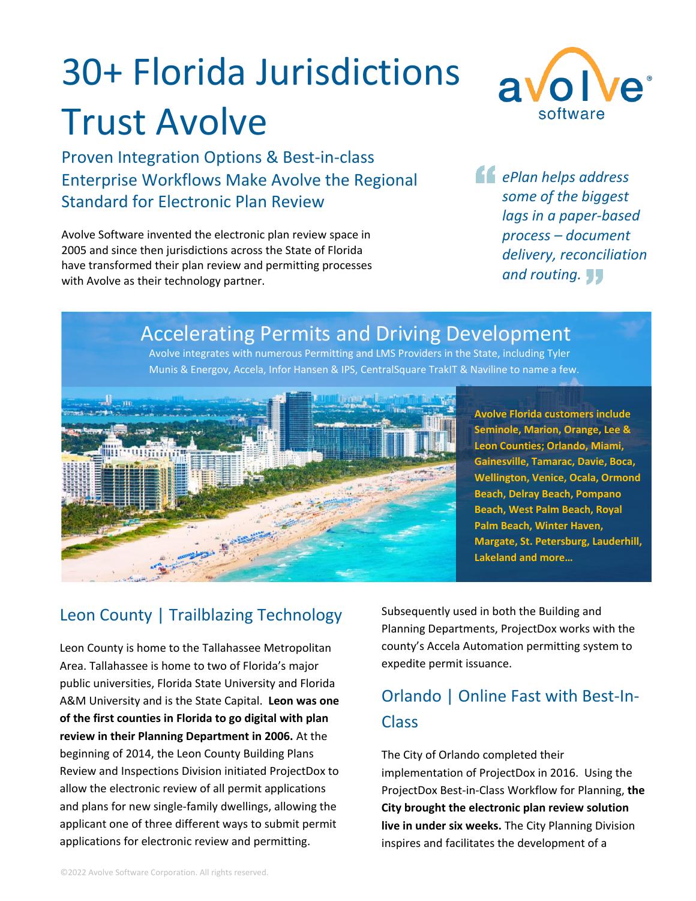# 30+ Florida Jurisdictions Trust Avolve

Proven Integration Options & Best-in-class Enterprise Workflows Make Avolve the Regional Standard for Electronic Plan Review

Avolve Software invented the electronic plan review space in 2005 and since then jurisdictions across the State of Florida have transformed their plan review and permitting processes with Avolve as their technology partner.



*ePlan helps address some of the biggest lags in a paper-based process – document delivery, reconciliation and routing.*

# Accelerating Permits and Driving Development

Avolve integrates with numerous Permitting and LMS Providers in the State, including Tyler Munis & Energov, Accela, Infor Hansen & IPS, CentralSquare TrakIT & Naviline to name a few.



**Avolve Florida customers include Seminole, Marion, Orange, Lee & Leon Counties; Orlando, Miami, Gainesville, Tamarac, Davie, Boca, Wellington, Venice, Ocala, Ormond Beach, Delray Beach, Pompano Beach, West Palm Beach, Royal Palm Beach, Winter Haven, Margate, St. Petersburg, Lauderhill, Lakeland and more…**

#### Leon County | Trailblazing Technology

Leon County is home to the Tallahassee Metropolitan Area. Tallahassee is home to two of Florida's major public universities, Florida State University and Florida A&M University and is the State Capital. **Leon was one of the first counties in Florida to go digital with plan review in their Planning Department in 2006.** At the beginning of 2014, the Leon County Building Plans Review and Inspections Division initiated ProjectDox to allow the electronic review of all permit applications and plans for new single-family dwellings, allowing the applicant one of three different ways to submit permit applications for electronic review and permitting.

Subsequently used in both the Building and Planning Departments, ProjectDox works with the county's Accela Automation permitting system to expedite permit issuance.

# Orlando | Online Fast with Best-In-Class

The City of Orlando completed their implementation of ProjectDox in 2016. Using the ProjectDox Best-in-Class Workflow for Planning, **the City brought the electronic plan review solution live in under six weeks.** The City Planning Division inspires and facilitates the development of a